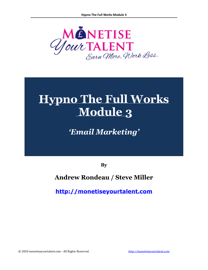

# **Hypno The Full Works Module 3**

*'Email Marketing'*

**By**

## **Andrew Rondeau / Steve Miller**

**[http://monetiseyourtalent.com](http://monetiseyourtalent.com/)**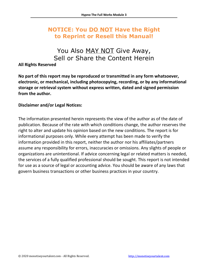## **NOTICE: You DO NOT Have the Right to Reprint or Resell this Manual!**

## You Also MAY NOT Give Away, Sell or Share the Content Herein

#### **All Rights Reserved**

**No part of this report may be reproduced or transmitted in any form whatsoever, electronic, or mechanical, including photocopying, recording, or by any informational storage or retrieval system without express written, dated and signed permission from the author.** 

#### **Disclaimer and/or Legal Notices:**

The information presented herein represents the view of the author as of the date of publication. Because of the rate with which conditions change, the author reserves the right to alter and update his opinion based on the new conditions. The report is for informational purposes only. While every attempt has been made to verify the information provided in this report, neither the author nor his affiliates/partners assume any responsibility for errors, inaccuracies or omissions. Any slights of people or organizations are unintentional. If advice concerning legal or related matters is needed, the services of a fully qualified professional should be sought. This report is not intended for use as a source of legal or accounting advice. You should be aware of any laws that govern business transactions or other business practices in your country.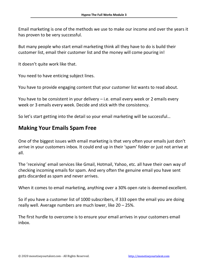Email marketing is one of the methods we use to make our income and over the years it has proven to be very successful.

But many people who start email marketing think all they have to do is build their customer list, email their customer list and the money will come pouring in!

It doesn't quite work like that.

You need to have enticing subject lines.

You have to provide engaging content that your customer list wants to read about.

You have to be consistent in your delivery – i.e. email every week or 2 emails every week or 3 emails every week. Decide and stick with the consistency.

So let's start getting into the detail so your email marketing will be successful…

#### **Making Your Emails Spam Free**

One of the biggest issues with email marketing is that very often your emails just don't arrive in your customers inbox. It could end up in their 'spam' folder or just not arrive at all.

The 'receiving' email services like Gmail, Hotmail, Yahoo, etc. all have their own way of checking incoming emails for spam. And very often the genuine email you have sent gets discarded as spam and never arrives.

When it comes to email marketing, anything over a 30% open rate is deemed excellent.

So if you have a customer list of 1000 subscribers, if 333 open the email you are doing really well. Average numbers are much lower, like 20 – 25%.

The first hurdle to overcome is to ensure your email arrives in your customers email inbox.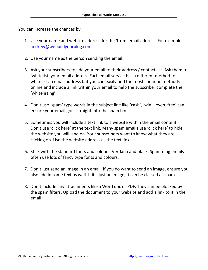You can increase the chances by:

- 1. Use your name and website address for the 'from' email address. For example: [andrew@webuildyourblog.com](mailto:andrew@webuildyourblog.com)
- 2. Use your name as the person sending the email.
- 3. Ask your subscribers to add your email to their address / contact list. Ask them to 'whitelist' your email address. Each email service has a different method to whitelist an email address but you can easily find the most common methods online and include a link within your email to help the subscriber complete the 'whitelisting'.
- 4. Don't use 'spam' type words in the subject line like 'cash', 'win'…even 'free' can ensure your email goes straight into the spam bin.
- 5. Sometimes you will include a text link to a website within the email content. Don't use 'click here' at the text link. Many spam emails use 'click here' to hide the website you will land on. Your subscribers want to know what they are clicking on. Use the website address as the text link.
- 6. Stick with the standard fonts and colours. Verdana and black. Spamming emails often use lots of fancy type fonts and colours.
- 7. Don't just send an image in an email. If you do want to send an image, ensure you also add in some text as well. If it's just an image, it can be classed as spam.
- 8. Don't include any attachments like a Word doc or PDF. They can be blocked by the spam filters. Upload the document to your website and add a link to it in the email.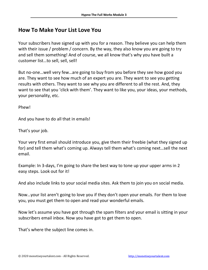### **How To Make Your List Love You**

Your subscribers have signed up with you for a reason. They believe you can help them with their issue / problem / concern. By the way, they also know you are going to try and sell them something! And of course, we all know that's why you have built a customer list…to sell, sell, sell!

But no-one…well very few…are going to buy from you before they see how good you are. They want to see how much of an expert you are. They want to see you getting results with others. They want to see why you are different to all the rest. And, they want to see that you 'click with them'. They want to like you, your ideas, your methods, your personality, etc.

Phew!

And you have to do all that in emails!

That's your job.

Your very first email should introduce you, give them their freebie (what they signed up for) and tell them what's coming up. Always tell them what's coming next…sell the next email.

Example: In 3-days, I'm going to share the best way to tone up your upper arms in 2 easy steps. Look out for it!

And also include links to your social media sites. Ask them to join you on social media.

Now…your list aren't going to love you if they don't open your emails. For them to love you, you must get them to open and read your wonderful emails.

Now let's assume you have got through the spam filters and your email is sitting in your subscribers email inbox. Now you have got to get them to open.

That's where the subject line comes in.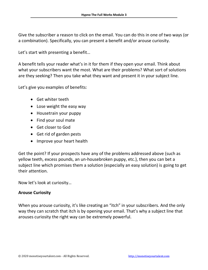Give the subscriber a reason to click on the email. You can do this in one of two ways (or a combination). Specifically, you can present a benefit and/or arouse curiosity.

Let's start with presenting a benefit…

A benefit tells your reader what's in it for them if they open your email. Think about what your subscribers want the most. What are their problems? What sort of solutions are they seeking? Then you take what they want and present it in your subject line.

Let's give you examples of benefits:

- Get whiter teeth
- Lose weight the easy way
- Housetrain your puppy
- Find your soul mate
- Get closer to God
- Get rid of garden pests
- Improve your heart health

Get the point? If your prospects have any of the problems addressed above (such as yellow teeth, excess pounds, an un-housebroken puppy, etc.), then you can bet a subject line which promises them a solution (especially an easy solution) is going to get their attention.

Now let's look at curiosity…

#### **Arouse Curiosity**

When you arouse curiosity, it's like creating an "itch" in your subscribers. And the only way they can scratch that itch is by opening your email. That's why a subject line that arouses curiosity the right way can be extremely powerful.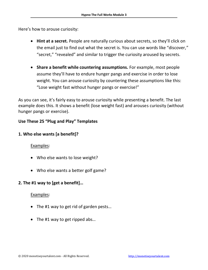Here's how to arouse curiosity:

- **Hint at a secret.** People are naturally curious about secrets, so they'll click on the email just to find out what the secret is. You can use words like "discover," "secret," "revealed" and similar to trigger the curiosity aroused by secrets.
- **Share a benefit while countering assumptions.** For example, most people assume they'll have to endure hunger pangs and exercise in order to lose weight. You can arouse curiosity by countering these assumptions like this: "Lose weight fast without hunger pangs or exercise!"

As you can see, it's fairly easy to arouse curiosity while presenting a benefit. The last example does this. It shows a benefit (lose weight fast) and arouses curiosity (without hunger pangs or exercise).

#### **Use These 25 "Plug and Play" Templates**

#### **1. Who else wants [a benefit]?**

#### Examples:

- Who else wants to lose weight?
- Who else wants a better golf game?

#### **2. The #1 way to [get a benefit]…**

- The #1 way to get rid of garden pests...
- The #1 way to get ripped abs...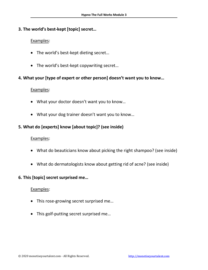#### **3. The world's best-kept [topic] secret…**

#### Examples:

- The world's best-kept dieting secret…
- The world's best-kept copywriting secret…

#### **4. What your [type of expert or other person] doesn't want you to know…**

#### Examples:

- What your doctor doesn't want you to know…
- What your dog trainer doesn't want you to know…

#### **5. What do [experts] know [about topic]? (see inside)**

#### Examples:

- What do beauticians know about picking the right shampoo? (see inside)
- What do dermatologists know about getting rid of acne? (see inside)

#### **6. This [topic] secret surprised me…**

- This rose-growing secret surprised me…
- This golf-putting secret surprised me…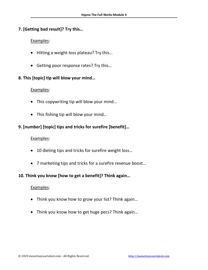#### **7. [Getting bad result]? Try this…**

#### Examples:

- Hitting a weight-loss plateau? Try this…
- Getting poor response rates? Try this...

#### **8. This [topic] tip will blow your mind…**

#### Examples:

- This copywriting tip will blow your mind...
- This fishing tip will blow your mind…

#### **9. [number] [topic] tips and tricks for surefire [benefit]…**

#### Examples:

- 10 dieting tips and tricks for surefire weight loss...
- 7 marketing tips and tricks for a surefire revenue boost…

#### **10. Think you know [how to get a benefit]? Think again…**

- Think you know how to grow your list? Think again…
- Think you know how to get huge pecs? Think again…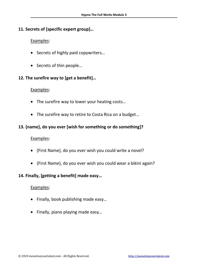#### **11. Secrets of [specific expert group]…**

#### Examples:

- Secrets of highly paid copywriters…
- Secrets of thin people…

#### **12. The surefire way to [get a benefit]…**

#### Examples:

- The surefire way to lower your heating costs...
- The surefire way to retire to Costa Rica on a budget…

#### **13. {name}, do you ever [wish for something or do something]?**

#### Examples:

- {First Name}, do you ever wish you could write a novel?
- {First Name}, do you ever wish you could wear a bikini again?

#### **14. Finally, [getting a benefit] made easy…**

- Finally, book publishing made easy…
- Finally, piano playing made easy…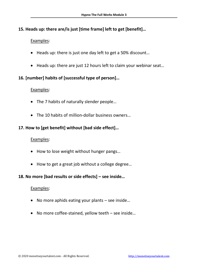#### **15. Heads up: there are/is just [time frame] left to get [benefit]…**

#### Examples:

- Heads up: there is just one day left to get a 50% discount…
- Heads up: there are just 12 hours left to claim your webinar seat…

#### **16. [number] habits of [successful type of person]…**

#### Examples:

- The 7 habits of naturally slender people...
- The 10 habits of million-dollar business owners…

#### **17. How to [get benefit] without [bad side effect]…**

#### Examples:

- How to lose weight without hunger pangs…
- How to get a great job without a college degree...

#### **18. No more [bad results or side effects] – see inside…**

- No more aphids eating your plants see inside…
- No more coffee-stained, yellow teeth see inside…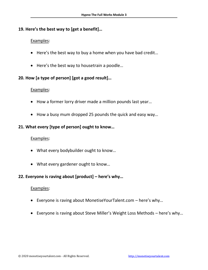#### **19. Here's the best way to [get a benefit]…**

#### Examples:

- Here's the best way to buy a home when you have bad credit…
- Here's the best way to housetrain a poodle...

#### **20. How [a type of person] [got a good result]…**

#### Examples:

- How a former lorry driver made a million pounds last year…
- How a busy mum dropped 25 pounds the quick and easy way…

#### **21. What every [type of person] ought to know…**

#### Examples:

- What every bodybuilder ought to know…
- What every gardener ought to know…

#### **22. Everyone is raving about [product] – here's why…**

- Everyone is raving about MonetiseYourTalent.com here's why…
- Everyone is raving about Steve Miller's Weight Loss Methods here's why…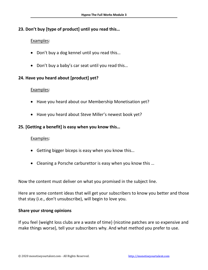#### **23. Don't buy [type of product] until you read this…**

#### Examples:

- Don't buy a dog kennel until you read this…
- Don't buy a baby's car seat until you read this…

#### **24. Have you heard about [product] yet?**

#### Examples:

- Have you heard about our Membership Monetisation yet?
- Have you heard about Steve Miller's newest book yet?

#### **25. [Getting a benefit] is easy when you know this…**

#### Examples:

- Getting bigger biceps is easy when you know this…
- Cleaning a Porsche carburettor is easy when you know this …

Now the content must deliver on what you promised in the subject line.

Here are some content ideas that will get your subscribers to know you better and those that stay (i.e., don't unsubscribe), will begin to love you.

#### **Share your strong opinions**

If you feel {weight loss clubs are a waste of time} {nicotine patches are so expensive and make things worse}, tell your subscribers why. And what method you prefer to use.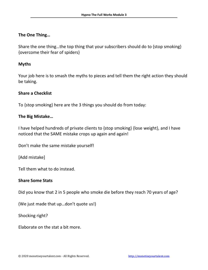#### **The One Thing…**

Share the one thing…the top thing that your subscribers should do to {stop smoking} {overcome their fear of spiders}

#### **Myths**

Your job here is to smash the myths to pieces and tell them the right action they should be taking.

#### **Share a Checklist**

To {stop smoking} here are the 3 things you should do from today:

#### **The Big Mistake…**

I have helped hundreds of private clients to {stop smoking} {lose weight}, and I have noticed that the SAME mistake crops up again and again!

Don't make the same mistake yourself!

[Add mistake]

Tell them what to do instead.

#### **Share Some Stats**

Did you know that 2 in 5 people who smoke die before they reach 70 years of age?

(We just made that up…don't quote us!)

Shocking right?

Elaborate on the stat a bit more.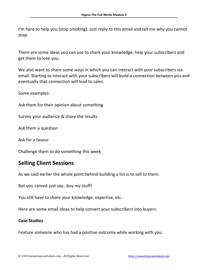I'm here to help you {stop smoking}. Just reply to this email and tell me why you cannot stop.

There are some ideas you can use to share your knowledge, help your subscribers and get them to love you.

We also want to share some ways in which you can interact with your subscribers via email. Starting to interact with your subscribers will build a connection between you and eventually that connection will lead to sales.

Some examples:

Ask them for their opinion about something

Survey your audience & share the results

Ask them a question

Ask for a favour

Challenge them to do something this week

#### **Selling Client Sessions**

As we said earlier the whole point behind building a list is to sell to them.

But you cannot just say…buy my stuff!

You still have to share your knowledge, expertise, etc.

Here are some email ideas to help convert your subscribers into buyers:

#### **Case Studies**

Feature someone who has had a positive outcome while working with you.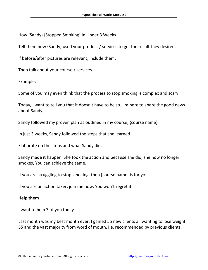How {Sandy} {Stopped Smoking} In Under 3 Weeks

Tell them how {Sandy} used your product / services to get the result they desired.

If before/after pictures are relevant, include them.

Then talk about your course / services.

Example:

Some of you may even think that the process to stop smoking is complex and scary.

Today, I want to tell you that it doesn't have to be so. I'm here to share the good news about Sandy.

Sandy followed my proven plan as outlined in my course, {course name}.

In just 3 weeks, Sandy followed the steps that she learned.

Elaborate on the steps and what Sandy did.

Sandy made it happen. She took the action and because she did, she now no longer smokes, You can achieve the same.

If you are struggling to stop smoking, then [course name] is for you.

If you are an action taker, join me now. You won't regret it.

#### **Help them**

I want to help 3 of you today

Last month was my best month ever. I gained 55 new clients all wanting to lose weight. 55 and the vast majority from word of mouth. i.e. recommended by previous clients.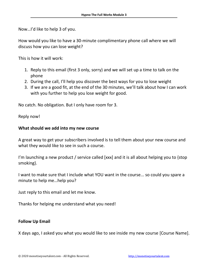Now…I'd like to help 3 of you.

How would you like to have a 30-minute complimentary phone call where we will discuss how you can lose weight?

This is how it will work:

- 1. Reply to this email (first 3 only, sorry) and we will set up a time to talk on the phone
- 2. During the call, I'll help you discover the best ways for you to lose weight
- 3. If we are a good fit, at the end of the 30 minutes, we'll talk about how I can work with you further to help you lose weight for good.

No catch. No obligation. But I only have room for 3.

Reply now!

#### **What should we add into my new course**

A great way to get your subscribers involved is to tell them about your new course and what they would like to see in such a course.

I'm launching a new product / service called [xxx] and it is all about helping you to {stop smoking}.

I want to make sure that I include what YOU want in the course... so could you spare a minute to help me…help you?

Just reply to this email and let me know.

Thanks for helping me understand what you need!

#### **Follow Up Email**

X days ago, I asked you what you would like to see inside my new course [Course Name].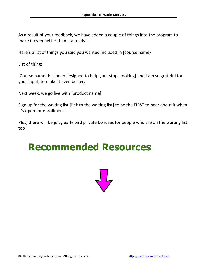As a result of your feedback, we have added a couple of things into the program to make it even better than it already is.

Here's a list of things you said you wanted included in [course name}

List of things

[Course name] has been designed to help you [stop smoking] and I am so grateful for your input, to make it even better,

Next week, we go live with [product name]

Sign up for the waiting list [link to the waiting list] to be the FIRST to hear about it when it's open for enrollment!

Plus, there will be juicy early bird private bonuses for people who are on the waiting list too!

## **Recommended Resources**

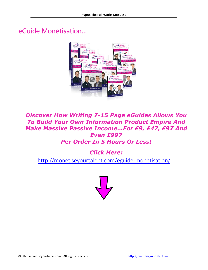## eGuide Monetisation…



## *Discover How Writing 7-15 Page eGuides Allows You To Build Your Own Information Product Empire And Make Massive Passive Income…For £9, £47, £97 And Even £997 Per Order In 5 Hours Or Less!*

*Click Here:*

<http://monetiseyourtalent.com/eguide-monetisation/>